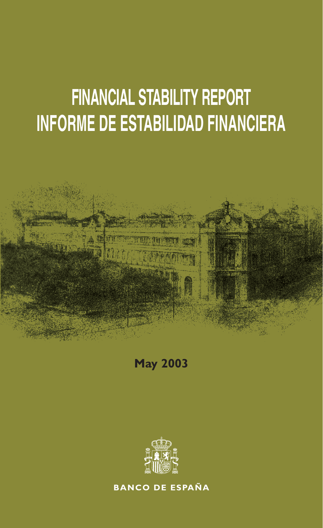# **FINANCIAL STABILITY REPORT INFORME DE ESTABILIDAD FINANCIERA**





**BANCO DE ESPAÑA**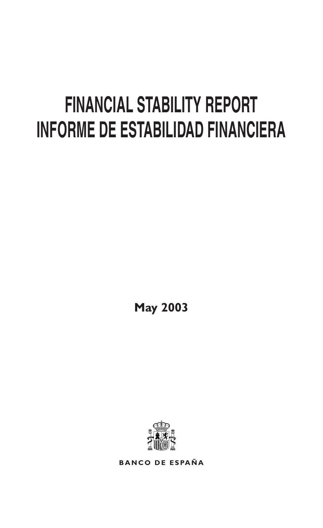# **FINANCIAL STABILITY REPORT INFORME DE ESTABILIDAD FINANCIERA**

**May 2003**



**BANCO DE ESPAÑA**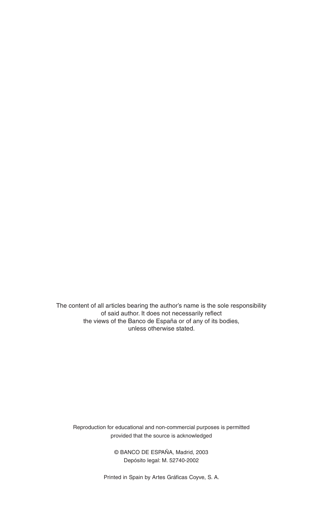The content of all articles bearing the author's name is the sole responsibility of said author. It does not necessarily reflect the views of the Banco de España or of any of its bodies, unless otherwise stated.

Reproduction for educational and non-commercial purposes is permitted provided that the source is acknowledged

> © BANCO DE ESPAÑA, Madrid, 2003 Depósito legal: M. 52740-2002

Printed in Spain by Artes Gráficas Coyve, S. A.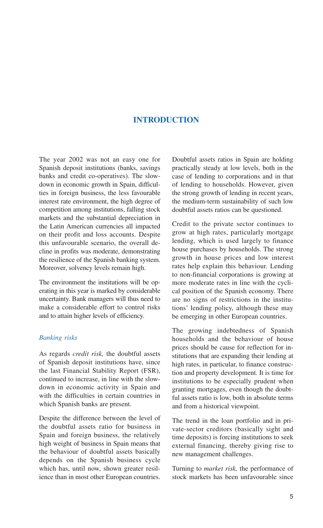### **INTRODUCTION**

The year 2002 was not an easy one for Spanish deposit institutions (banks, savings banks and credit co-operatives). The slowdown in economic growth in Spain, difficulties in foreign business, the less favourable interest rate environment, the high degree of competition among institutions, falling stock markets and the substantial depreciation in the Latin American currencies all impacted on their profit and loss accounts. Despite this unfavourable scenario, the overall decline in profits was moderate, demonstrating the resilience of the Spanish banking system. Moreover, solvency levels remain high.

The environment the institutions will be operating in this year is marked by considerable uncertainty. Bank managers will thus need to make a considerable effort to control risks and to attain higher levels of efficiency.

#### *Banking risks*

As regards *credit risk,* the doubtful assets of Spanish deposit institutions have, since the last Financial Stability Report (FSR), continued to increase, in line with the slowdown in economic activity in Spain and with the difficulties in certain countries in which Spanish banks are present.

Despite the difference between the level of the doubtful assets ratio for business in Spain and foreign business, the relatively high weight of business in Spain means that the behaviour of doubtful assets basically depends on the Spanish business cycle which has, until now, shown greater resilience than in most other European countries.

Doubtful assets ratios in Spain are holding practically steady at low levels, both in the case of lending to corporations and in that of lending to households. However, given the strong growth of lending in recent years, the medium-term sustainability of such low doubtful assets ratios can be questioned.

Credit to the private sector continues to grow at high rates, particularly mortgage lending, which is used largely to finance house purchases by households. The strong growth in house prices and low interest rates help explain this behaviour. Lending to non-financial corporations is growing at more moderate rates in line with the cyclical position of the Spanish economy. There are no signs of restrictions in the institutions' lending policy, although these may be emerging in other European countries.

The growing indebtedness of Spanish households and the behaviour of house prices should be cause for reflection for institutions that are expanding their lending at high rates, in particular, to finance construction and property development. It is time for institutions to be especially prudent when granting mortgages, even though the doubtful assets ratio is low, both in absolute terms and from a historical viewpoint.

The trend in the loan portfolio and in private-sector creditors (basically sight and time deposits) is forcing institutions to seek external financing, thereby giving rise to new management challenges.

Turning to *market risk,* the performance of stock markets has been unfavourable since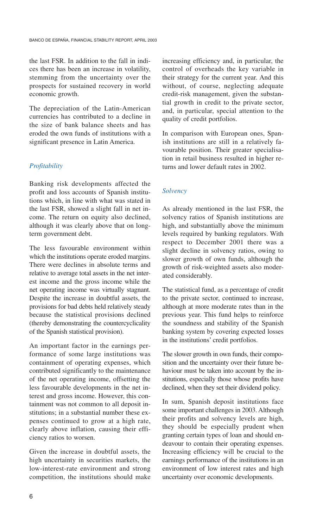the last FSR. In addition to the fall in indices there has been an increase in volatility, stemming from the uncertainty over the prospects for sustained recovery in world economic growth.

The depreciation of the Latin-American currencies has contributed to a decline in the size of bank balance sheets and has eroded the own funds of institutions with a significant presence in Latin America.

#### *Profitability*

Banking risk developments affected the profit and loss accounts of Spanish institutions which, in line with what was stated in the last FSR, showed a slight fall in net income. The return on equity also declined, although it was clearly above that on longterm government debt.

The less favourable environment within which the institutions operate eroded margins. There were declines in absolute terms and relative to average total assets in the net interest income and the gross income while the net operating income was virtually stagnant. Despite the increase in doubtful assets, the provisions for bad debts held relatively steady because the statistical provisions declined (thereby demonstrating the countercyclicality of the Spanish statistical provision).

An important factor in the earnings performance of some large institutions was containment of operating expenses, which contributed significantly to the maintenance of the net operating income, offsetting the less favourable developments in the net interest and gross income. However, this containment was not common to all deposit institutions; in a substantial number these expenses continued to grow at a high rate, clearly above inflation, causing their efficiency ratios to worsen.

Given the increase in doubtful assets, the high uncertainty in securities markets, the low-interest-rate environment and strong competition, the institutions should make increasing efficiency and, in particular, the control of overheads the key variable in their strategy for the current year. And this without, of course, neglecting adequate credit-risk management, given the substantial growth in credit to the private sector, and, in particular, special attention to the quality of credit portfolios.

In comparison with European ones, Spanish institutions are still in a relatively favourable position. Their greater specialisation in retail business resulted in higher returns and lower default rates in 2002.

#### *Solvency*

As already mentioned in the last FSR, the solvency ratios of Spanish institutions are high, and substantially above the minimum levels required by banking regulators. With respect to December 2001 there was a slight decline in solvency ratios, owing to slower growth of own funds, although the growth of risk-weighted assets also moderated considerably.

The statistical fund, as a percentage of credit to the private sector, continued to increase, although at more moderate rates than in the previous year. This fund helps to reinforce the soundness and stability of the Spanish banking system by covering expected losses in the institutions' credit portfolios.

The slower growth in own funds, their composition and the uncertainty over their future behaviour must be taken into account by the institutions, especially those whose profits have declined, when they set their dividend policy.

In sum, Spanish deposit institutions face some important challenges in 2003. Although their profits and solvency levels are high, they should be especially prudent when granting certain types of loan and should endeavour to contain their operating expenses. Increasing efficiency will be crucial to the earnings performance of the institutions in an environment of low interest rates and high uncertainty over economic developments.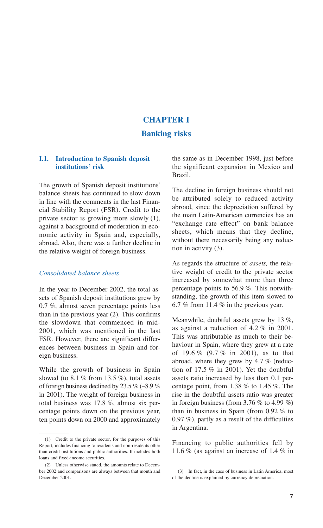## **CHAPTER I Banking risks**

#### **I.1. Introduction to Spanish deposit institutions' risk**

The growth of Spanish deposit institutions' balance sheets has continued to slow down in line with the comments in the last Financial Stability Report (FSR). Credit to the private sector is growing more slowly (1), against a background of moderation in economic activity in Spain and, especially, abroad. Also, there was a further decline in the relative weight of foreign business.

#### *Consolidated balance sheets*

In the year to December 2002, the total assets of Spanish deposit institutions grew by 0.7 %, almost seven percentage points less than in the previous year (2). This confirms the slowdown that commenced in mid-2001, which was mentioned in the last FSR. However, there are significant differences between business in Spain and foreign business.

While the growth of business in Spain slowed (to 8.1  $\%$  from 13.5  $\%$ ), total assets of foreign business declined by 23.5 % (–8.9 % in 2001). The weight of foreign business in total business was 17.8 %, almost six percentage points down on the previous year, ten points down on 2000 and approximately the same as in December 1998, just before the significant expansion in Mexico and Brazil.

The decline in foreign business should not be attributed solely to reduced activity abroad, since the depreciation suffered by the main Latin-American currencies has an "exchange rate effect" on bank balance sheets, which means that they decline, without there necessarily being any reduction in activity (3).

As regards the structure of *assets,* the relative weight of credit to the private sector increased by somewhat more than three percentage points to 56.9 %. This notwithstanding, the growth of this item slowed to 6.7 % from 11.4 % in the previous year.

Meanwhile, doubtful assets grew by 13 %, as against a reduction of 4.2 % in 2001. This was attributable as much to their behaviour in Spain, where they grew at a rate of 19.6 % (9.7 % in 2001), as to that abroad, where they grew by 4.7 % (reduction of 17.5 % in 2001). Yet the doubtful assets ratio increased by less than 0.1 percentage point, from 1.38 % to 1.45 %. The rise in the doubtful assets ratio was greater in foreign business (from  $3.76\%$  to  $4.99\%$ ) than in business in Spain (from 0.92 % to 0.97 %), partly as a result of the difficulties in Argentina.

Financing to public authorities fell by 11.6 % (as against an increase of 1.4 % in

<sup>(1)</sup> Credit to the private sector, for the purposes of this Report, includes financing to residents and non-residents other than credit institutions and public authorities. It includes both loans and fixed-income securities.

<sup>(2)</sup> Unless otherwise stated, the amounts relate to December 2002 and comparisons are always between that month and December 2001.

<sup>(3)</sup> In fact, in the case of business in Latin America, most of the decline is explained by currency depreciation.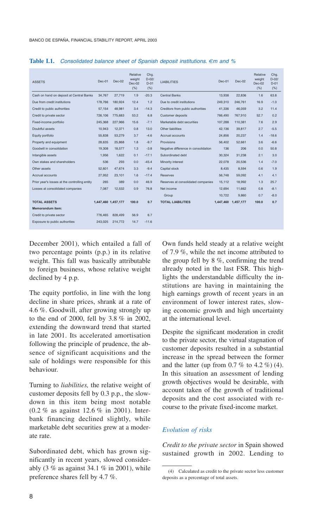| <b>ASSETS</b>                                 | Dec-01              | $Dec-02$ | Relative<br>weight<br>$Dec-02$<br>(% ) | Chg.<br>$D-02I$<br>$D-01$<br>$(\%)$ | <b>LIABILITIES</b>                   | $Dec-01$ | Dec-02              | Relative<br>weight<br>$Dec-02$<br>(% ) | Chg.<br>$D-02I$<br>$D-01$<br>$(\%)$ |
|-----------------------------------------------|---------------------|----------|----------------------------------------|-------------------------------------|--------------------------------------|----------|---------------------|----------------------------------------|-------------------------------------|
| Cash on hand on deposit at Central Banks      | 34.767              | 27,719   | 1.9                                    | $-20.3$                             | <b>Central Banks</b>                 | 13.938   | 22,836              | 1.6                                    | 63.8                                |
| Due from credit institutions                  | 178,766             | 180.924  | 12.4                                   | 1.2                                 | Due to credit institutions           | 249.310  | 246,761             | 16.9                                   | $-1.0$                              |
| Credit to public authorities                  | 57.154              | 48.981   | 3.4                                    | $-14.3$                             | Creditors from public authorities    | 41.336   | 46.059              | 3.2                                    | 11.4                                |
| Credit to private sector                      | 726,106             | 775,683  | 53.2                                   | 6.8                                 | Customer deposits                    | 766.490  | 767,910             | 52.7                                   | 0.2                                 |
| Fixed-income portfolio                        | 245,368             | 227.966  | 15.6                                   | $-7.1$                              | Marketable debt securities           | 107,288  | 110,381             | 7.6                                    | 2.9                                 |
| Doubtful assets                               | 10.943              | 12.371   | 0.8                                    | 13.0                                | Other liabilities                    | 42.136   | 39,817              | 2.7                                    | $-5.5$                              |
| Equity portfolio                              | 55,838              | 53,279   | 3.7                                    | $-4.6$                              | Accrual accounts                     | 24,856   | 20,237              | 1.4                                    | $-18.6$                             |
| Property and equipment                        | 28.635              | 25,868   | 1.8                                    | $-9.7$                              | Provisions                           | 56.402   | 52.661              | 3.6                                    | $-6.6$                              |
| Goodwill in consolidation                     | 19,308              | 18,577   | 1.3                                    | $-3.8$                              | Negative difference in consolidation | 136      | 206                 | 0.0                                    | 50.8                                |
| Intangible assets                             | 1.956               | 1.622    | 0.1                                    | $-17.1$                             | Subordinated debt                    | 30.324   | 31.238              | 2.1                                    | 3.0                                 |
| Own stakes and shareholders                   | 536                 | 293      | 0.0                                    | $-45.4$                             | Minority interest                    | 22.078   | 20.536              | 1.4                                    | $-7.0$                              |
| Other assets                                  | 52.601              | 47.674   | 3.3                                    | $-9.4$                              | Capital stock                        | 8.435    | 8.594               | 0.6                                    | 1.9                                 |
| Accrual accounts                              | 27,952              | 23,101   | 1.6                                    | $-17.4$                             | Reserves                             | 56.748   | 59.092              | 4.1                                    | 4.1                                 |
| Prior year's losses at the controlling entity | 265                 | 389      | 0.0                                    | 46.9                                | Reserves at consolidated companies   | 15.112   | 18.992              | 1.3                                    | 25.7                                |
| Losses at consolidated companies              | 7.087               | 12.532   | 0.9                                    | 76.8                                | Net income                           | 12.694   | 11.662              | 0.8                                    | $-8.1$                              |
|                                               |                     |          |                                        |                                     | Group                                | 10.722   | 9,860               | 0.7                                    | $-8.0$                              |
| <b>TOTAL ASSETS</b>                           | 1,447,460 1,457,177 |          | 100.0                                  | 0.7                                 | <b>TOTAL LIABILITIES</b>             |          | 1,447,460 1,457,177 | 100.0                                  | 0.7                                 |
| <b>Memorandum item:</b>                       |                     |          |                                        |                                     |                                      |          |                     |                                        |                                     |
| Credit to private sector                      | 776.465             | 828.499  | 56.9                                   | 6.7                                 |                                      |          |                     |                                        |                                     |
| Exposure to public authorities                | 243.025             | 214,772  | 14.7                                   | $-11.6$                             |                                      |          |                     |                                        |                                     |

**Table I.1.** *Consolidated balance sheet of Spanish deposit institutions. €m and %*

December 2001), which entailed a fall of two percentage points (p.p.) in its relative weight. This fall was basically attributable to foreign business, whose relative weight declined by 4 p.p.

The equity portfolio, in line with the long decline in share prices, shrank at a rate of 4.6 %. Goodwill, after growing strongly up to the end of 2000, fell by 3.8 % in 2002, extending the downward trend that started in late 2001. Its accelerated amortisation following the principle of prudence, the absence of significant acquisitions and the sale of holdings were responsible for this behaviour.

Turning to *liabilities,* the relative weight of customer deposits fell by 0.3 p.p., the slowdown in this item being most notable (0.2 % as against 12.6 % in 2001). Interbank financing declined slightly, while marketable debt securities grew at a moderate rate.

Subordinated debt, which has grown significantly in recent years, slowed considerably (3 % as against 34.1 % in 2001), while preference shares fell by 4.7 %.

Own funds held steady at a relative weight of 7.9 %, while the net income attributed to the group fell by 8 %, confirming the trend already noted in the last FSR. This highlights the understandable difficulty the institutions are having in maintaining the high earnings growth of recent years in an environment of lower interest rates, slowing economic growth and high uncertainty at the international level.

Despite the significant moderation in credit to the private sector, the virtual stagnation of customer deposits resulted in a substantial increase in the spread between the former and the latter (up from  $0.7\%$  to  $4.2\%$ ) (4). In this situation an assessment of lending growth objectives would be desirable, with account taken of the growth of traditional deposits and the cost associated with recourse to the private fixed-income market.

#### *Evolution of risks*

*Credit to the private sector* in Spain showed sustained growth in 2002. Lending to

<sup>(4)</sup> Calculated as credit to the private sector less customer deposits as a percentage of total assets.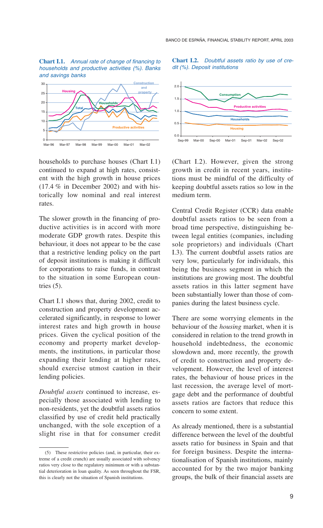**Chart I.1.** *Annual rate of change of financing to households and productive activities (%). Banks and savings banks*



households to purchase houses (Chart I.1) continued to expand at high rates, consistent with the high growth in house prices (17.4 % in December 2002) and with historically low nominal and real interest rates.

The slower growth in the financing of productive activities is in accord with more moderate GDP growth rates. Despite this behaviour, it does not appear to be the case that a restrictive lending policy on the part of deposit institutions is making it difficult for corporations to raise funds, in contrast to the situation in some European countries  $(5)$ .

Chart I.1 shows that, during 2002, credit to construction and property development accelerated significantly, in response to lower interest rates and high growth in house prices. Given the cyclical position of the economy and property market developments, the institutions, in particular those expanding their lending at higher rates, should exercise utmost caution in their lending policies.

*Doubtful assets* continued to increase, especially those associated with lending to non-residents, yet the doubtful assets ratios classified by use of credit held practically unchanged, with the sole exception of a slight rise in that for consumer credit

#### **Chart I.2.** *Doubtful assets ratio by use of credit (%). Deposit institutions*



(Chart I.2). However, given the strong growth in credit in recent years, institutions must be mindful of the difficulty of keeping doubtful assets ratios so low in the medium term.

Central Credit Register (CCR) data enable doubtful assets ratios to be seen from a broad time perspective, distinguishing between legal entities (companies, including sole proprietors) and individuals (Chart I.3). The current doubtful assets ratios are very low, particularly for individuals, this being the business segment in which the institutions are growing most. The doubtful assets ratios in this latter segment have been substantially lower than those of companies during the latest business cycle.

There are some worrying elements in the behaviour of the *housing* market, when it is considered in relation to the trend growth in household indebtedness, the economic slowdown and, more recently, the growth of credit to construction and property development. However, the level of interest rates, the behaviour of house prices in the last recession, the average level of mortgage debt and the performance of doubtful assets ratios are factors that reduce this concern to some extent.

As already mentioned, there is a substantial difference between the level of the doubtful assets ratio for business in Spain and that for foreign business. Despite the internationalisation of Spanish institutions, mainly accounted for by the two major banking groups, the bulk of their financial assets are

<sup>(5)</sup> These restrictive policies (and, in particular, their extreme of a credit crunch) are usually associated with solvency ratios very close to the regulatory minimum or with a substantial deterioration in loan quality. As seen throughout the FSR, this is clearly not the situation of Spanish institutions.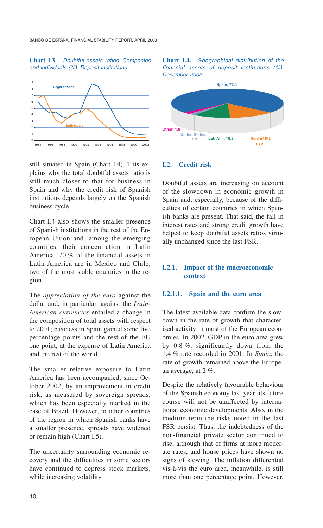#### **Chart I.3.** *Doubtful assets ratios. Companies and individuals (%). Deposit institutions*



still situated in Spain (Chart I.4). This explains why the total doubtful assets ratio is still much closer to that for business in Spain and why the credit risk of Spanish institutions depends largely on the Spanish business cycle.

Chart I.4 also shows the smaller presence of Spanish institutions in the rest of the European Union and, among the emerging countries, their concentration in Latin America. 70 % of the financial assets in Latin America are in Mexico and Chile, two of the most stable countries in the region.

The *appreciation of the euro* against the dollar and, in particular, against the *Latin-American currencies* entailed a change in the composition of total assets with respect to 2001; business in Spain gained some five percentage points and the rest of the EU one point, at the expense of Latin America and the rest of the world.

The smaller relative exposure to Latin America has been accompanied, since October 2002, by an improvement in credit risk, as measured by sovereign spreads, which has been especially marked in the case of Brazil. However, in other countries of the region in which Spanish banks have a smaller presence, spreads have widened or remain high (Chart I.5).

The uncertainty surrounding economic recovery and the difficulties in some sectors have continued to depress stock markets, while increasing volatility.





#### **I.2. Credit risk**

Doubtful assets are increasing on account of the slowdown in economic growth in Spain and, especially, because of the difficulties of certain countries in which Spanish banks are present. That said, the fall in interest rates and strong credit growth have helped to keep doubtful assets ratios virtually unchanged since the last FSR.

#### **I.2.1. Impact of the macroeconomic context**

#### **I.2.1.1. Spain and the euro area**

The latest available data confirm the slowdown in the rate of growth that characterised activity in most of the European economies. In 2002, GDP in the euro area grew by 0.8 %, significantly down from the 1.4 % rate recorded in 2001. In *Spain,* the rate of growth remained above the European average, at 2 %.

Despite the relatively favourable behaviour of the Spanish economy last year, its future course will not be unaffected by international economic developments. Also, in the medium term the risks noted in the last FSR persist. Thus, the indebtedness of the non-financial private sector continued to rise, although that of firms at more moderate rates, and house prices have shown no signs of slowing. The inflation differential vis-à-vis the euro area, meanwhile, is still more than one percentage point. However,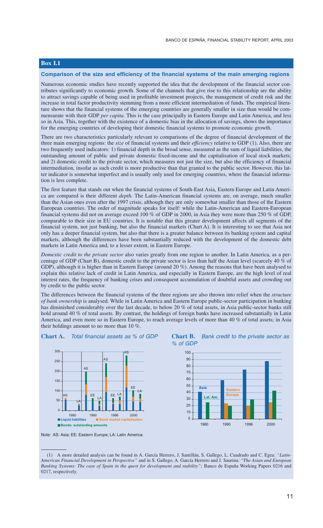#### **Box I.1**

#### **Comparison of the size and efficiency of the financial systems of the main emerging regions**

Numerous economic studies have recently supported the idea that the development of the financial sector contributes significantly to economic growth. Some of the channels that give rise to this relationship are the ability to attract savings capable of being used in profitable investment projects, the management of credit risk and the increase in total factor productivity stemming from a more efficient intermediation of funds. The empirical literature shows that the financial systems of the emerging countries are generally smaller in size than would be commensurate with their GDP *per capita.* This is the case principally in Eastern Europe and Latin America, and less so in Asia. This, together with the existence of a domestic bias in the allocation of savings, shows the importance for the emerging countries of developing their domestic financial systems to promote economic growth.

There are two characteristics particularly relevant to comparisons of the degree of financial development of the three main emerging regions: the *size* of financial systems and their *efficiency* relative to GDP (1). Also, there are two frequently used indicators: 1) financial depth in the broad sense, measured as the sum of liquid liabilities, the outstanding amount of public and private domestic fixed-income and the capitalisation of local stock markets; and 2) domestic credit to the private sector, which measures not just the size, but also the efficiency of financial intermediation, insofar as such credit is more productive than that granted to the public sector. However, this latter indicator is somewhat imperfect and is usually only used for emerging countries, where the financial information is less complete.

The first feature that stands out when the financial systems of South-East Asia, Eastern Europe and Latin America are compared is their different *depth.* The Latin-American financial systems are, on average, much smaller than the Asian ones even after the 1997 crisis, although they are only somewhat smaller than those of the Eastern European countries. The order of magnitude speaks for itself: while the Latin-American and Eastern-European financial systems did not on average exceed 100 % of GDP in 2000, in Asia they were more than 250 % of GDP, comparable to their size in EU countries. It is notable that this greater development affects all segments of the financial system, not just banking, but also the financial markets (Chart A). It is interesting to see that Asia not only has a deeper financial system, but also that there is a greater balance between its banking system and capital markets, although the differences have been substantially reduced with the development of the domestic debt markets in Latin America and, to a lesser extent, in Eastern Europe.

*Domestic credit to the private sector* also varies greatly from one region to another. In Latin America, as a percentage of GDP (Chart B), domestic credit to the private sector is less than half the Asian level (scarcely 40  $\%$  of GDP), although it is higher than in Eastern Europe (around 20 %). Among the reasons that have been analysed to explain this relative lack of credit in Latin America, and especially in Eastern Europe, are the high level of real interest rates, the frequency of banking crises and consequent accumulation of doubtful assets and crowding out by credit to the public sector.

The differences between the financial systems of the three regions are also thrown into relief when the *structure of bank ownership* is analysed. While in Latin America and Eastern Europe public-sector participation in banking has diminished considerably over the last decade, to below 20 % of total assets, in Asia public-sector banks still hold around 40 % of total assets. By contrast, the holdings of foreign banks have increased substantially in Latin America, and even more so in Eastern Europe, to reach average levels of more than 40 % of total assets; in Asia their holdings amount to no more than 10 %.









<sup>(1)</sup> A more detailed analysis can be found in A. García Herrero, J. Santillán, S. Gallego, L. Cuadrado and C. Egea: *"Latin-American Financial Development in Perspective"* and in S. Gallego, A. García Herrero and J. Saurina: *"The Asian and European Banking Systems: The case of Spain in the quest for development and stability";* Banco de España Working Papers 0216 and 0217, respectively.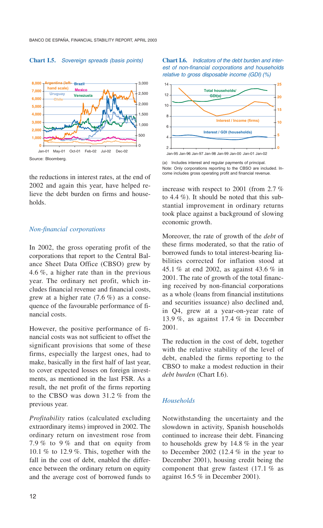#### **Chart I.5.** *Sovereign spreads (basis points)*



Source: Bloomberg.

the reductions in interest rates, at the end of 2002 and again this year, have helped relieve the debt burden on firms and households.

#### *Non-financial corporations*

In 2002, the gross operating profit of the corporations that report to the Central Balance Sheet Data Office (CBSO) grew by 4.6 %, a higher rate than in the previous year. The ordinary net profit, which includes financial revenue and financial costs, grew at a higher rate  $(7.6\%)$  as a consequence of the favourable performance of financial costs.

However, the positive performance of financial costs was not sufficient to offset the significant provisions that some of these firms, especially the largest ones, had to make, basically in the first half of last year, to cover expected losses on foreign investments, as mentioned in the last FSR. As a result, the net profit of the firms reporting to the CBSO was down 31.2 % from the previous year.

*Profitability* ratios (calculated excluding extraordinary items) improved in 2002. The ordinary return on investment rose from 7.9 % to 9 % and that on equity from 10.1 % to 12.9 %. This, together with the fall in the cost of debt, enabled the difference between the ordinary return on equity and the average cost of borrowed funds to **Chart I.6.** *Indicators of the debt burden and interest of non-financial corporations and households relative to gross disposable income (GDI) (%)*



(a) Includes interest and regular payments of principal. Note: Only corporations reporting to the CBSO are included. Income includes gross operating profit and financial revenue.

increase with respect to 2001 (from 2.7 % to 4.4 %). It should be noted that this substantial improvement in ordinary returns took place against a background of slowing economic growth.

Moreover, the rate of growth of the *debt* of these firms moderated, so that the ratio of borrowed funds to total interest-bearing liabilities corrected for inflation stood at 45.1 % at end 2002, as against 43.6 % in 2001. The rate of growth of the total financing received by non-financial corporations as a whole (loans from financial institutions and securities issuance) also declined and, in Q4, grew at a year-on-year rate of 13.9 %, as against 17.4 % in December 2001.

The reduction in the cost of debt, together with the relative stability of the level of debt, enabled the firms reporting to the CBSO to make a modest reduction in their *debt burden* (Chart I.6).

#### *Households*

Notwithstanding the uncertainty and the slowdown in activity, Spanish households continued to increase their debt. Financing to households grew by 14.8 % in the year to December 2002 (12.4  $%$  in the year to December 2001), housing credit being the component that grew fastest (17.1 % as against 16.5 % in December 2001).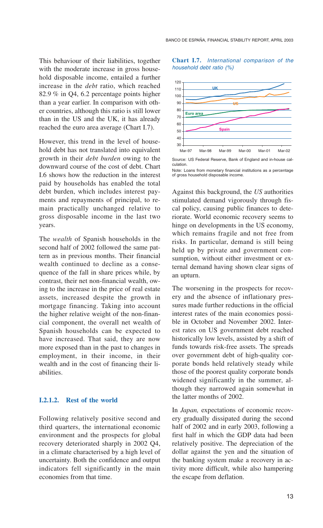This behaviour of their liabilities, together with the moderate increase in gross household disposable income, entailed a further increase in the *debt* ratio, which reached 82.9 % in Q4, 6.2 percentage points higher than a year earlier. In comparison with other countries, although this ratio is still lower than in the US and the UK, it has already reached the euro area average (Chart I.7).

However, this trend in the level of household debt has not translated into equivalent growth in their *debt burden* owing to the downward course of the cost of debt. Chart I.6 shows how the reduction in the interest paid by households has enabled the total debt burden, which includes interest payments and repayments of principal, to remain practically unchanged relative to gross disposable income in the last two years.

The *wealth* of Spanish households in the second half of 2002 followed the same pattern as in previous months. Their financial wealth continued to decline as a consequence of the fall in share prices while, by contrast, their net non-financial wealth, owing to the increase in the price of real estate assets, increased despite the growth in mortgage financing. Taking into account the higher relative weight of the non-financial component, the overall net wealth of Spanish households can be expected to have increased. That said, they are now more exposed than in the past to changes in employment, in their income, in their wealth and in the cost of financing their liabilities.

#### **I.2.1.2. Rest of the world**

Following relatively positive second and third quarters, the international economic environment and the prospects for global recovery deteriorated sharply in 2002 Q4, in a climate characterised by a high level of uncertainty. Both the confidence and output indicators fell significantly in the main economies from that time.





Source: US Federal Reserve, Bank of England and in-house calculation.

Note: Loans from monetary financial institutions as a percentage of gross household disposable income.

Against this background, the *US* authorities stimulated demand vigorously through fiscal policy, causing public finances to deteriorate. World economic recovery seems to hinge on developments in the US economy, which remains fragile and not free from risks. In particular, demand is still being held up by private and government consumption, without either investment or external demand having shown clear signs of an upturn.

The worsening in the prospects for recovery and the absence of inflationary pressures made further reductions in the official interest rates of the main economies possible in October and November 2002. Interest rates on US government debt reached historically low levels, assisted by a shift of funds towards risk-free assets. The spreads over government debt of high-quality corporate bonds held relatively steady while those of the poorest quality corporate bonds widened significantly in the summer, although they narrowed again somewhat in the latter months of 2002.

In *Japan,* expectations of economic recovery gradually dissipated during the second half of 2002 and in early 2003, following a first half in which the GDP data had been relatively positive. The depreciation of the dollar against the yen and the situation of the banking system make a recovery in activity more difficult, while also hampering the escape from deflation.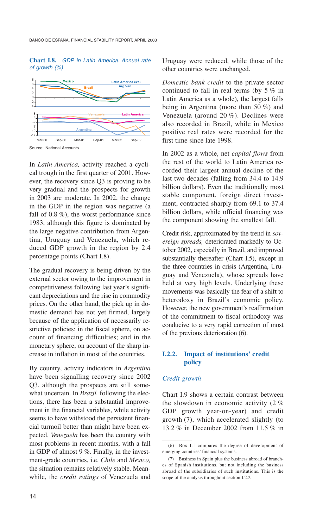#### **Chart I.8.** *GDP in Latin America. Annual rate of growth (%)*



Source: National Accounts.

In *Latin America,* activity reached a cyclical trough in the first quarter of 2001. However, the recovery since Q3 is proving to be very gradual and the prospects for growth in 2003 are moderate. In 2002, the change in the GDP in the region was negative (a fall of 0.8 %), the worst performance since 1983, although this figure is dominated by the large negative contribution from Argentina, Uruguay and Venezuela, which reduced GDP growth in the region by 2.4 percentage points (Chart I.8).

The gradual recovery is being driven by the external sector owing to the improvement in competitiveness following last year's significant depreciations and the rise in commodity prices. On the other hand, the pick up in domestic demand has not yet firmed, largely because of the application of necessarily restrictive policies: in the fiscal sphere, on account of financing difficulties; and in the monetary sphere, on account of the sharp increase in inflation in most of the countries.

By country, activity indicators in *Argentina* have been signalling recovery since 2002 Q3, although the prospects are still somewhat uncertain. In *Brazil,* following the elections, there has been a substantial improvement in the financial variables, while activity seems to have withstood the persistent financial turmoil better than might have been expected. *Venezuela* has been the country with most problems in recent months, with a fall in GDP of almost 9 %. Finally, in the investment-grade countries, i.e. *Chile* and *Mexico,* the situation remains relatively stable. Meanwhile, the *credit ratings* of Venezuela and Uruguay were reduced, while those of the other countries were unchanged.

*Domestic bank credit* to the private sector continued to fall in real terms (by 5 % in Latin America as a whole), the largest falls being in Argentina (more than 50 %) and Venezuela (around 20 %). Declines were also recorded in Brazil, while in Mexico positive real rates were recorded for the first time since late 1998.

In 2002 as a whole, net *capital flows* from the rest of the world to Latin America recorded their largest annual decline of the last two decades (falling from 34.4 to 14.9 billion dollars). Even the traditionally most stable component, foreign direct investment, contracted sharply from 69.1 to 37.4 billion dollars, while official financing was the component showing the smallest fall.

Credit risk, approximated by the trend in *sovereign spreads,* deteriorated markedly to October 2002, especially in Brazil, and improved substantially thereafter (Chart I.5), except in the three countries in crisis (Argentina, Uruguay and Venezuela), whose spreads have held at very high levels. Underlying these movements was basically the fear of a shift to heterodoxy in Brazil's economic policy. However, the new government's reaffirmation of the commitment to fiscal orthodoxy was conducive to a very rapid correction of most of the previous deterioration (6).

#### **I.2.2. Impact of institutions' credit policy**

#### *Credit growth*

Chart I.9 shows a certain contrast between the slowdown in economic activity (2 % GDP growth year-on-year) and credit growth (7), which accelerated slightly (to 13.2 % in December 2002 from 11.5 % in

<sup>(6)</sup> Box I.1 compares the degree of development of emerging countries' financial systems.

<sup>(7)</sup> Business in Spain plus the business abroad of branches of Spanish institutions, but not including the business abroad of the subsidiaries of such institutions. This is the scope of the analysis throughout section I.2.2.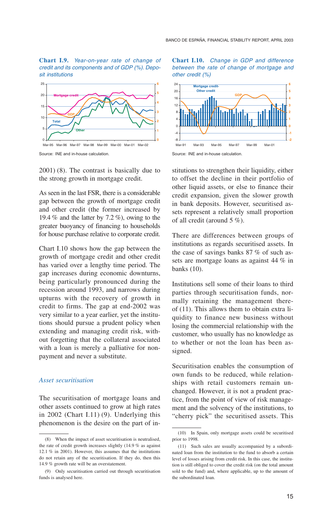**Chart I.9.** *Year-on-year rate of change of credit and its components and of GDP (%). Deposit institutions*



Source: INE and in-house calculation.

2001) (8). The contrast is basically due to the strong growth in mortgage credit.

As seen in the last FSR, there is a considerable gap between the growth of mortgage credit and other credit (the former increased by 19.4 % and the latter by 7.2 %), owing to the greater buoyancy of financing to households for house purchase relative to corporate credit.

Chart I.10 shows how the gap between the growth of mortgage credit and other credit has varied over a lengthy time period. The gap increases during economic downturns, being particularly pronounced during the recession around 1993, and narrows during upturns with the recovery of growth in credit to firms. The gap at end-2002 was very similar to a year earlier, yet the institutions should pursue a prudent policy when extending and managing credit risk, without forgetting that the collateral associated with a loan is merely a palliative for nonpayment and never a substitute.

#### *Asset securitisation*

The securitisation of mortgage loans and other assets continued to grow at high rates in 2002 (Chart I.11) (9). Underlying this phenomenon is the desire on the part of in**Chart I.10.** *Change in GDP and difference between the rate of change of mortgage and other credit (%)*



Source: INE and in-house calculation.

stitutions to strengthen their liquidity, either to offset the decline in their portfolio of other liquid assets, or else to finance their credit expansion, given the slower growth in bank deposits. However, securitised assets represent a relatively small proportion of all credit (around 5 %).

There are differences between groups of institutions as regards securitised assets. In the case of savings banks 87 % of such assets are mortgage loans as against 44 % in banks (10).

Institutions sell some of their loans to third parties through securitisation funds, normally retaining the management thereof (11). This allows them to obtain extra liquidity to finance new business without losing the commercial relationship with the customer, who usually has no knowledge as to whether or not the loan has been assigned.

Securitisation enables the consumption of own funds to be reduced, while relationships with retail customers remain unchanged. However, it is not a prudent practice, from the point of view of risk management and the solvency of the institutions, to "cherry pick" the securitised assets. This

<sup>(8)</sup> When the impact of asset securitisation is neutralised, the rate of credit growth increases slightly (14.9 % as against 12.1 % in 2001). However, this assumes that the institutions do not retain any of the securitisation. If they do, then this 14.9 % growth rate will be an overstatement.

<sup>(9)</sup> Only securitisation carried out through securitisation funds is analysed here.

<sup>(10)</sup> In Spain, only mortgage assets could be securitised prior to 1998.

<sup>(11)</sup> Such sales are usually accompanied by a subordinated loan from the institution to the fund to absorb a certain level of losses arising from credit risk. In this case, the institution is still obliged to cover the credit risk (on the total amount sold to the fund) and, where applicable, up to the amount of the subordinated loan.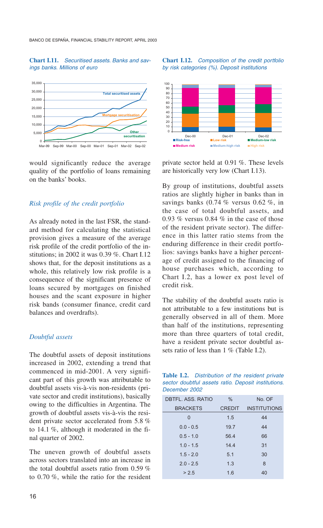#### **Chart I.11.** *Securitised assets. Banks and savings banks. Millions of euro*



would significantly reduce the average quality of the portfolio of loans remaining on the banks' books.

#### *Risk profile of the credit portfolio*

As already noted in the last FSR, the standard method for calculating the statistical provision gives a measure of the average risk profile of the credit portfolio of the institutions; in 2002 it was 0.39 %. Chart I.12 shows that, for the deposit institutions as a whole, this relatively low risk profile is a consequence of the significant presence of loans secured by mortgages on finished houses and the scant exposure in higher risk bands (consumer finance, credit card balances and overdrafts).

#### *Doubtful assets*

The doubtful assets of deposit institutions increased in 2002, extending a trend that commenced in mid-2001. A very significant part of this growth was attributable to doubtful assets vis-à-vis non-residents (private sector and credit institutions), basically owing to the difficulties in Argentina. The growth of doubtful assets vis-à-vis the resident private sector accelerated from 5.8 % to 14.1 %, although it moderated in the final quarter of 2002.

The uneven growth of doubtful assets across sectors translated into an increase in the total doubtful assets ratio from 0.59 % to 0.70 %, while the ratio for the resident



private sector held at 0.91 %. These levels are historically very low (Chart I.13).

By group of institutions, doubtful assets ratios are slightly higher in banks than in savings banks  $(0.74\%$  versus  $0.62\%$ , in the case of total doubtful assets, and 0.93 % versus 0.84 % in the case of those of the resident private sector). The difference in this latter ratio stems from the enduring difference in their credit portfolios: savings banks have a higher percentage of credit assigned to the financing of house purchases which, according to Chart I.2, has a lower ex post level of credit risk.

The stability of the doubtful assets ratio is not attributable to a few institutions but is generally observed in all of them. More than half of the institutions, representing more than three quarters of total credit, have a resident private sector doubtful assets ratio of less than 1 % (Table I.2).

| Table I.2. Distribution of the resident private     |  |  |  |  |  |
|-----------------------------------------------------|--|--|--|--|--|
| sector doubtful assets ratio. Deposit institutions. |  |  |  |  |  |
| December 2002                                       |  |  |  |  |  |

| DBTFL, ASS, RATIO | $\%$          | No. OF              |
|-------------------|---------------|---------------------|
| <b>BRACKETS</b>   | <b>CREDIT</b> | <b>INSTITUTIONS</b> |
| $\Omega$          | 1.5           | 44                  |
| $0.0 - 0.5$       | 19.7          | 44                  |
| $0.5 - 1.0$       | 56.4          | 66                  |
| $10 - 15$         | 14.4          | 31                  |
| $1.5 - 2.0$       | 5.1           | 30                  |
| $2.0 - 2.5$       | 1.3           | 8                   |
| > 2.5             | 1.6           | 40                  |
|                   |               |                     |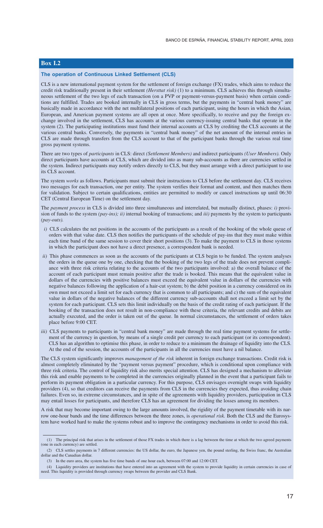#### **Box I.2**

#### **The operation of Continuous Linked Settlement (CLS)**

CLS is a new international payment system for the settlement of foreign exchange (FX) trades, which aims to reduce the credit risk traditionally present in their settlement *(Hersttat risk)* (1) to a minimum. CLS achieves this through simultaneous settlement of the two legs of each transaction (on a PVP or payment-versus-payment basis) when certain conditions are fulfilled. Trades are booked internally in CLS in gross terms, but the payments in "central bank money" are basically made in accordance with the net multilateral positions of each participant, using the hours in which the Asian, European, and American payment systems are all open at once. More specifically, to receive and pay the foreign exchange involved in the settlement, CLS has accounts at the various currency-issuing central banks that operate in the system (2). The participating institutions must fund their internal accounts at CLS by crediting the CLS accounts at the various central banks. Conversely, the payments in "central bank money" of the net amount of the internal entries in CLS are made through transfers from the CLS account to that of the participant banks through the various real time gross payment systems.

There are two types of *participants* in CLS: direct *(Settlement Members)* and indirect participants *(User Members).* Only direct participants have accounts at CLS, which are divided into as many sub-accounts as there are currencies settled in the system. Indirect participants may notify orders directly to CLS, but they must arrange with a direct participant to use its CLS account.

The system *works* as follows. Participants must submit their instructions to CLS before the settlement day. CLS receives two messages for each transaction, one per entity. The system verifies their format and content, and then matches them for validation. Subject to certain qualifications, entities are permitted to modify or cancel instructions up until 06:30 CET (Central European Time) on the settlement day.

The *payment process* in CLS is divided into three simultaneous and interrelated, but mutually distinct, phases: *i)* provision of funds to the system *(pay-ins); ii)* internal booking of transactions; and *iii)* payments by the system to participants *(pay-outs).*

- *i*) CLS calculates the net positions in the accounts of the participants as a result of the booking of the whole queue of orders with that value date. CLS then notifies the participants of the schedule of pay-ins that they must make within each time band of the same session to cover their short positions (3). To make the payment to CLS in those systems in which the participant does not have a direct presence, a correspondent bank is needed.
- *ii*) This phase commences as soon as the accounts of the participants at CLS begin to be funded. The system analyses the orders in the queue one by one, checking that the booking of the two legs of the trade does not prevent compliance with three risk criteria relating to the accounts of the two participants involved: a) the overall balance of the account of each participant must remain positive after the trade is booked. This means that the equivalent value in dollars of the currencies with positive balances must exceed the equivalent value in dollars of the currencies with negative balances following the application of a hair-cut system; b) the debit position in a currency considered on its own must not exceed a limit set for each currency that is common to all participants; and c) the sum of the equivalent value in dollars of the negative balances of the different currency sub-accounts shall not exceed a limit set by the system for each participant. CLS sets this limit individually on the basis of the credit rating of each participant. If the booking of the transaction does not result in non-compliance with these criteria, the relevant credits and debits are actually executed, and the order is taken out of the queue. In normal circumstances, the settlement of orders takes place before 9:00 CET.
- *iii*) CLS payments to participants in "central bank money" are made through the real time payment systems for settlement of the currency in question, by means of a single credit per currency to each participant (or its correspondent). CLS has an algorithm to optimise this phase, in order to reduce to a minimum the drainage of liquidity into the CLS. At the end of the session, the accounts of the participants in all the currencies must have a nil balance.

The CLS system significantly improves *management of the risk* inherent in foreign exchange transactions. Credit risk is almost completely eliminated by the "payment versus payment" procedure, which is conditional upon compliance with three risk criteria. The control of liquidity risk also merits special attention. CLS has designed a mechanism to alleviate this risk and enable payments to be completed in the currencies originally planned in the event that a participant fails to perform its payment obligation in a particular currency. For this purpose, CLS envisages overnight swaps with liquidity providers (4), so that creditors can receive the payments from CLS in the currencies they expected, thus avoiding chain failures. Even so, in extreme circumstances, and in spite of the agreements with liquidity providers, participation in CLS may entail losses for participants, and therefore CLS has an agreement for dividing the losses among its members.

A risk that may become important owing to the large amounts involved, the rigidity of the payment timetable with its narrow one-hour bands and the time differences between the three zones, is *operational risk*. Both the CLS and the Eurosystem have worked hard to make the systems robust and to improve the contingency mechanisms in order to avoid this risk.

<sup>(1)</sup> The principal risk that arises in the settlement of those FX trades in which there is a lag between the time at which the two agreed payments (one in each currency) are settled.

<sup>(2)</sup> CLS settles payments in 7 different currencies: the US dollar, the euro, the Japanese yen, the pound sterling, the Swiss franc, the Australian dollar and the Canadian dollar.

<sup>(3)</sup> In the euro area, the system has five time bands of one hour each, between 07:00 and 12:00 CET.

<sup>(4)</sup> Liquidity providers are institutions that have entered into an agreement with the system to provide liquidity in certain currencies in case of need. This liquidity is provided through currency swaps between the provider and CLS Bank.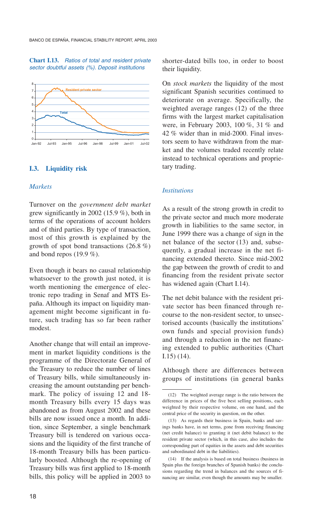#### **Chart I.13.** *Ratios of total and resident private sector doubtful assets (%). Deposit institutions*



#### **I.3. Liquidity risk**

#### *Markets*

Turnover on the *government debt market*  grew significantly in 2002 (15.9 %), both in terms of the operations of account holders and of third parties. By type of transaction, most of this growth is explained by the growth of spot bond transactions (26.8 %) and bond repos  $(19.9\%).$ 

Even though it bears no causal relationship whatsoever to the growth just noted, it is worth mentioning the emergence of electronic repo trading in Senaf and MTS España. Although its impact on liquidity management might become significant in future, such trading has so far been rather modest.

Another change that will entail an improvement in market liquidity conditions is the programme of the Directorate General of the Treasury to reduce the number of lines of Treasury bills, while simultaneously increasing the amount outstanding per benchmark. The policy of issuing 12 and 18 month Treasury bills every 15 days was abandoned as from August 2002 and these bills are now issued once a month. In addition, since September, a single benchmark Treasury bill is tendered on various occasions and the liquidity of the first tranche of 18-month Treasury bills has been particularly boosted. Although the re-opening of Treasury bills was first applied to 18-month bills, this policy will be applied in 2003 to shorter-dated bills too, in order to boost their liquidity.

On *stock markets* the liquidity of the most significant Spanish securities continued to deteriorate on average. Specifically, the weighted average ranges (12) of the three firms with the largest market capitalisation were, in February 2003, 100 %, 31 % and 42 % wider than in mid-2000. Final investors seem to have withdrawn from the market and the volumes traded recently relate instead to technical operations and proprietary trading.

#### *Institutions*

As a result of the strong growth in credit to the private sector and much more moderate growth in liabilities to the same sector, in June 1999 there was a change of sign in the net balance of the sector (13) and, subsequently, a gradual increase in the net financing extended thereto. Since mid-2002 the gap between the growth of credit to and financing from the resident private sector has widened again (Chart I.14).

The net debit balance with the resident private sector has been financed through recourse to the non-resident sector, to unsectorised accounts (basically the institutions' own funds and special provision funds) and through a reduction in the net financing extended to public authorities (Chart I.15) (14).

Although there are differences between groups of institutions (in general banks

<sup>(12)</sup> The weighted average range is the ratio between the difference in prices of the five best selling positions, each weighted by their respective volume, on one hand, and the central price of the security in question, on the other.

<sup>(13)</sup> As regards their business in Spain, banks and savings banks have, in net terms, gone from receiving financing (net credit balance) to granting it (net debit balance) to the resident private sector (which, in this case, also includes the corresponding part of equities in the assets and debt securities and subordinated debt in the liabilities).

<sup>(14)</sup> If the analysis is based on total business (business in Spain plus the foreign branches of Spanish banks) the conclusions regarding the trend in balances and the sources of financing are similar, even though the amounts may be smaller.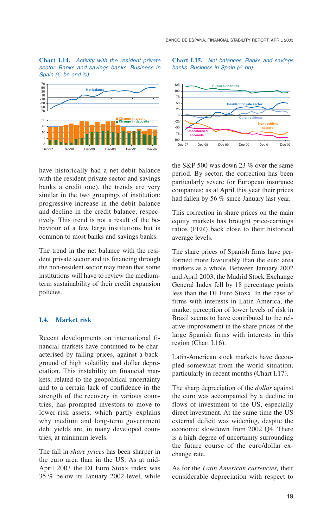**Chart I.14.** *Activity with the resident private sector. Banks and savings banks. Business in Spain (€ bn and %)*



have historically had a net debit balance with the resident private sector and savings banks a credit one), the trends are very similar in the two groupings of institution: progressive increase in the debit balance and decline in the credit balance, respectively. This trend is not a result of the behaviour of a few large institutions but is common to most banks and savings banks.

The trend in the net balance with the resident private sector and its financing through the non-resident sector may mean that some institutions will have to review the mediumterm sustainability of their credit expansion policies.

#### **I.4. Market risk**

Recent developments on international financial markets have continued to be characterised by falling prices, against a background of high volatility and dollar depreciation. This instability on financial markets, related to the geopolitical uncertainty and to a certain lack of confidence in the strength of the recovery in various countries, has prompted investors to move to lower-risk assets, which partly explains why medium and long-term government debt yields are, in many developed countries, at minimum levels.

The fall in *share prices* has been sharper in the euro area than in the US. As at mid-April 2003 the DJ Euro Stoxx index was 35 % below its January 2002 level, while

#### **Chart I.15.** *Net balances. Banks and savings banks. Business in Spain (€ bn)*



the S&P 500 was down 23 % over the same period. By sector, the correction has been particularly severe for European insurance companies; as at April this year their prices had fallen by 56 % since January last year.

This correction in share prices on the main equity markets has brought price-earnings ratios (PER) back close to their historical average levels.

The share prices of Spanish firms have performed more favourably than the euro area markets as a whole. Between January 2002 and April 2003, the Madrid Stock Exchange General Index fell by 18 percentage points less than the DJ Euro Stoxx. In the case of firms with interests in Latin America, the market perception of lower levels of risk in Brazil seems to have contributed to the relative improvement in the share prices of the large Spanish firms with interests in this region (Chart I.16).

Latin-American stock markets have decoupled somewhat from the world situation, particularly in recent months (Chart I.17).

The sharp depreciation of the *dollar* against the euro was accompanied by a decline in flows of investment to the US, especially direct investment. At the same time the US external deficit was widening, despite the economic slowdown from 2002 Q4. There is a high degree of uncertainty surrounding the future course of the euro/dollar exchange rate.

As for the *Latin American currencies,* their considerable depreciation with respect to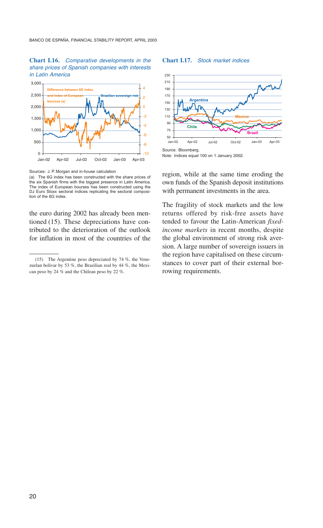#### **Chart I.16.** *Comparative developments in the share prices of Spanish companies with interests in Latin America*



Sources: J. P. Morgan and in-house calculation

(a) The 6G index has been constructed with the share prices of the six Spanish firms with the biggest presence in Latin America. The index of European bourses has been constructed using the DJ Euro Stoxx sectoral indices replicating the sectoral composition of the 6G index.

the euro during 2002 has already been mentioned (15). These depreciations have contributed to the deterioration of the outlook for inflation in most of the countries of the

#### **Chart I.17.** *Stock market indices*



Note: Indices equal 100 on 1 January 2002.

region, while at the same time eroding the own funds of the Spanish deposit institutions with permanent investments in the area.

The fragility of stock markets and the low returns offered by risk-free assets have tended to favour the Latin-American *fixedincome markets* in recent months, despite the global environment of strong risk aversion. A large number of sovereign issuers in the region have capitalised on these circumstances to cover part of their external borrowing requirements.

<sup>(15)</sup> The Argentine peso depreciated by 74 %, the Venezuelan bolivar by 53 %, the Brazilian real by 44 %, the Mexican peso by 24 % and the Chilean peso by 22 %.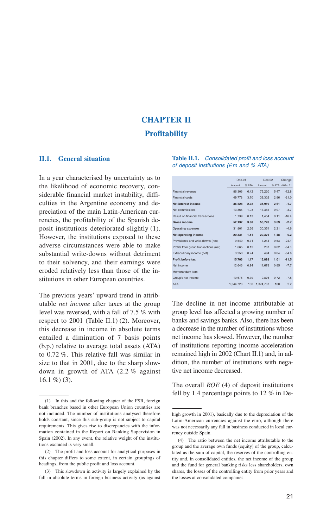# **CHAPTER II Profitability**

#### **II.1. General situation**

In a year characterised by uncertainty as to the likelihood of economic recovery, considerable financial market instability, difficulties in the Argentine economy and depreciation of the main Latin-American currencies, the profitability of the Spanish deposit institutions deteriorated slightly (1). However, the institutions exposed to these adverse circumstances were able to make substantial write-downs without detriment to their solvency, and their earnings were eroded relatively less than those of the institutions in other European countries.

The previous years' upward trend in attributable *net income* after taxes at the group level was reversed, with a fall of 7.5 % with respect to 2001 (Table II.1) (2). Moreover, this decrease in income in absolute terms entailed a diminution of 7 basis points (b.p.) relative to average total assets (ATA) to 0.72 %. This relative fall was similar in size to that in 2001, due to the sharp slowdown in growth of ATA (2.2 % against  $16.1 \%$ ) (3).

#### **Table II.1.** *Consolidated profit and loss account of deposit institutions (€m and % ATA)*

|                                       | $Dec-01$  |       | $Dec-02$  |      | Change          |
|---------------------------------------|-----------|-------|-----------|------|-----------------|
|                                       | Amount    | % ATA | Amount    |      | % ATA d.02-d.01 |
| Financial revenue                     | 86.306    | 6.42  | 75.220    | 5.47 | $-12.8$         |
| Financial costs                       | 49.778    | 3.70  | 39.302    | 2.86 | $-21.0$         |
| Net interest income                   | 36.528    | 2.72  | 35,919    | 2.61 | $-1.7$          |
| Net commissions                       | 13.865    | 1.03  | 13.355    | 0.97 | $-3.7$          |
| Result on financial transactions      | 1.739     | 0.13  | 1.454     | 0.11 | $-16.4$         |
| Gross income                          | 52.132    | 3.88  | 50.728    | 3.69 | $-2.7$          |
| Operating expenses                    | 31.801    | 2.36  | 30.351    | 2.21 | $-4.6$          |
| Net operating income                  | 20.331    | 1.51  | 20.376    | 1.48 | 0.2             |
| Provisiones and write-downs (net)     | 9.540     | 0.71  | 7,244     | 0.53 | $-24.1$         |
| Profits from group transactions (net) | 1.665     | 0.12  | 267       | 0.02 | $-84.0$         |
| Extraordinary income (net)            | 3.250     | 0.24  | 494       | 0.04 | $-84.8$         |
| Profit before tax                     | 15.706    | 1.17  | 13.893    | 1.01 | $-11.5$         |
| Net income                            | 12.646    | 0.94  | 11.678    | 0.85 | $-7.7$          |
| Memorandum item                       |           |       |           |      |                 |
| Group's net income                    | 10.675    | 0.79  | 9.876     | 0.72 | $-7.5$          |
| <b>ATA</b>                            | 1.344.720 | 100   | 1.374.767 | 100  | 2.2             |
|                                       |           |       |           |      |                 |

The decline in net income attributable at group level has affected a growing number of banks and savings banks. Also, there has been a decrease in the number of institutions whose net income has slowed. However, the number of institutions reporting income acceleration remained high in 2002 (Chart II.1) and, in addition, the number of institutions with negative net income decreased.

The overall *ROE* (4) of deposit institutions fell by 1.4 percentage points to 12 % in De-

<sup>(1)</sup> In this and the following chapter of the FSR, foreign bank branches based in other European Union countries are not included. The number of institutions analysed therefore holds constant, since this sub-group is not subject to capital requirements. This gives rise to discrepancies with the information contained in the Report on Banking Supervision in Spain (2002). In any event, the relative weight of the institutions excluded is very small.

<sup>(2)</sup> The profit and loss account for analytical purposes in this chapter differs to some extent, in certain groupings of headings, from the public profit and loss account.

<sup>(3)</sup> This slowdown in activity is largely explained by the fall in absolute terms in foreign business activity (as against

high growth in 2001), basically due to the depreciation of the Latin-American currencies against the euro, although there was not necessarily any fall in business conducted in local currency outside Spain.

<sup>(4)</sup> The ratio between the net income attributable to the group and the average own funds (equity) of the group, calculated as the sum of capital, the reserves of the controlling entity and, in consolidated entities, the net income of the group and the fund for general banking risks less shareholders, own shares, the losses of the controlling entity from prior years and the losses at consolidated companies.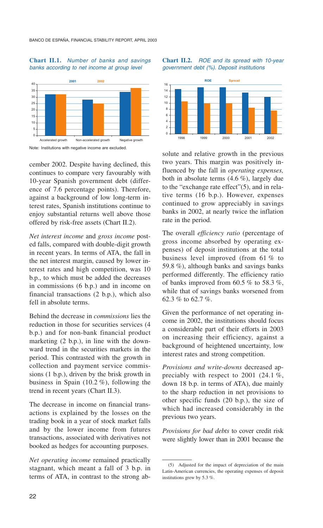#### **Chart II.1.** *Number of banks and savings banks according to net income at group level*



Note: Institutions with negative income are excluded.

cember 2002. Despite having declined, this continues to compare very favourably with 10-year Spanish government debt (difference of 7.6 percentage points). Therefore, against a background of low long-term interest rates, Spanish institutions continue to enjoy substantial returns well above those offered by risk-free assets (Chart II.2).

*Net interest income* and *gross income* posted falls, compared with double-digit growth in recent years. In terms of ATA, the fall in the net interest margin, caused by lower interest rates and high competition, was 10 b.p., to which must be added the decreases in commissions (6 b.p.) and in income on financial transactions (2 b.p.), which also fell in absolute terms.

Behind the decrease in *commissions* lies the reduction in those for securities services (4 b.p.) and for non-bank financial product marketing (2 b.p.), in line with the downward trend in the securities markets in the period. This contrasted with the growth in collection and payment service commissions (1 b.p.), driven by the brisk growth in business in Spain (10.2 %), following the trend in recent years (Chart II.3).

The decrease in income on financial transactions is explained by the losses on the trading book in a year of stock market falls and by the lower income from futures transactions, associated with derivatives not booked as hedges for accounting purposes.

*Net operating income* remained practically stagnant, which meant a fall of 3 b.p. in terms of ATA, in contrast to the strong ab-

#### **Chart II.2.** *ROE and its spread with 10-year government debt (%). Deposit institutions*



solute and relative growth in the previous two years. This margin was positively influenced by the fall in *operating expenses,*  both in absolute terms  $(4.6\%)$ , largely due to the "exchange rate effect"(5), and in relative terms (16 b.p.). However, expenses continued to grow appreciably in savings banks in 2002, at nearly twice the inflation rate in the period.

The overall *efficiency ratio* (percentage of gross income absorbed by operating expenses) of deposit institutions at the total business level improved (from 61 % to 59.8 %), although banks and savings banks performed differently. The efficiency ratio of banks improved from 60.5  $\%$  to 58.3  $\%$ , while that of savings banks worsened from 62.3 % to 62.7 %.

Given the performance of net operating income in 2002, the institutions should focus a considerable part of their efforts in 2003 on increasing their efficiency, against a background of heightened uncertainty, low interest rates and strong competition.

*Provisions and write-downs* decreased appreciably with respect to 2001 (24.1 %, down 18 b.p. in terms of ATA), due mainly to the sharp reduction in net provisions to other specific funds (20 b.p.), the size of which had increased considerably in the previous two years.

*Provisions for bad debts* to cover credit risk were slightly lower than in 2001 because the

<sup>(5)</sup> Adjusted for the impact of depreciation of the main Latin-American currencies, the operating expenses of deposit institutions grew by 5.3 %.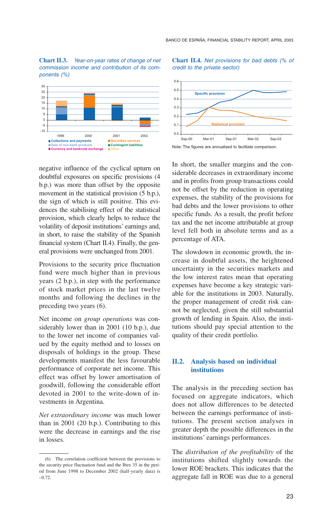**Chart II.3.** *Year-on-year rates of change of net commission income and contribution of its components (%)*



negative influence of the cyclical upturn on doubtful exposures on specific provisions (4 b.p.) was more than offset by the opposite movement in the statistical provision  $(5 b.p.),$ the sign of which is still positive. This evidences the stabilising effect of the statistical provision, which clearly helps to reduce the volatility of deposit institutions' earnings and, in short, to raise the stability of the Spanish financial system (Chart II.4). Finally, the general provisions were unchanged from 2001.

Provisions to the security price fluctuation fund were much higher than in previous years (2 b.p.), in step with the performance of stock market prices in the last twelve months and following the declines in the preceding two years (6).

Net income on *group operations* was considerably lower than in 2001 (10 b.p.), due to the lower net income of companies valued by the equity method and to losses on disposals of holdings in the group. These developments manifest the less favourable performance of corporate net income. This effect was offset by lower amortisation of goodwill, following the considerable effort devoted in 2001 to the write-down of investments in Argentina.

*Net extraordinary income* was much lower than in 2001 (20 b.p.). Contributing to this were the decrease in earnings and the rise in losses.





Note: The figures are annualised to facilitate comparison.

In short, the smaller margins and the considerable decreases in extraordinary income and in profits from group transactions could not be offset by the reduction in operating expenses, the stability of the provisions for bad debts and the lower provisions to other specific funds. As a result, the profit before tax and the net income attributable at group level fell both in absolute terms and as a percentage of ATA.

The slowdown in economic growth, the increase in doubtful assets, the heightened uncertainty in the securities markets and the low interest rates mean that operating expenses have become a key strategic variable for the institutions in 2003. Naturally, the proper management of credit risk cannot be neglected, given the still substantial growth of lending in Spain. Also, the institutions should pay special attention to the quality of their credit portfolio.

#### **II.2. Analysis based on individual institutions**

The analysis in the preceding section has focused on aggregate indicators, which does not allow differences to be detected between the earnings performance of institutions. The present section analyses in greater depth the possible differences in the institutions' earnings performances.

The *distribution of the profitability* of the institutions shifted slightly towards the lower ROE brackets. This indicates that the aggregate fall in ROE was due to a general

<sup>(6)</sup> The correlation coefficient between the provisions to the security price fluctuation fund and the Ibex 35 in the period from June 1998 to December 2002 (half-yearly data) is –0.72.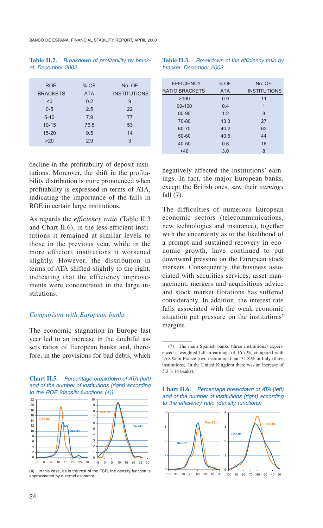BANCO DE ESPAÑA, FINANCIAL STABILITY REPORT, APRIL 2003

#### **Table II.2.** *Breakdown of profitability by bracket. December 2002*

| <b>ROE</b>      | % OF       | No. OF              |
|-----------------|------------|---------------------|
| <b>BRACKETS</b> | <b>ATA</b> | <b>INSTITUTIONS</b> |
| < 0             | 0.2        | 9                   |
| $0 - 5$         | 2.5        | 22                  |
| $5 - 10$        | 7.9        | 77                  |
| $10 - 15$       | 76.5       | 53                  |
| $15 - 20$       | 9.5        | 14                  |
| >20             | 2.9        | 3                   |
|                 |            |                     |

decline in the profitability of deposit institutions. Moreover, the shift in the profitability distribution is more pronounced when profitability is expressed in terms of ATA, indicating the importance of the falls in ROE in certain large institutions.

As regards the *efficiency ratio* (Table II.3 and Chart II.6), in the less efficient institutions it remained at similar levels to those in the previous year, while in the more efficient institutions it worsened slightly. However, the distribution in terms of ATA shifted slightly to the right, indicating that the efficiency improvements were concentrated in the large institutions.

#### *Comparison with European banks*

The economic stagnation in Europe last year led to an increase in the doubtful assets ratios of European banks and, therefore, in the provisions for bad debts, which

**Chart II.5.** *Percentage breakdown of ATA (left) and of the number of institutions (right) according to the ROE [density functions (a)]*



(a) In this case, as in the rest of the FSR, the density function is approximated by a kernel estimator.

| <b>Table II.3.</b> Breakdown of the efficiency ratio by |  |  |  |
|---------------------------------------------------------|--|--|--|
| bracket. December 2002                                  |  |  |  |

| <b>EFFICIENCY</b>     | $%$ OF     | No OF               |
|-----------------------|------------|---------------------|
| <b>RATIO BRACKETS</b> | <b>ATA</b> | <b>INSTITUTIONS</b> |
| >100                  | 0.9        | 11                  |
| $90 - 100$            | 0.4        | 1                   |
| 80-90                 | 1.2        | 8                   |
| 70-80                 | 13.3       | 27                  |
| 60-70                 | 40.2       | 63                  |
| 50-60                 | 40.5       | 44                  |
| 40-50                 | 0.6        | 16                  |
| < 40                  | 3.0        | 8                   |
|                       |            |                     |

negatively affected the institutions' earnings. In fact, the major European banks, except the British ones, saw their *earnings*  fall (7).

The difficulties of numerous European economic sectors (telecommunications, new technologies and insurance), together with the uncertainty as to the likelihood of a prompt and sustained recovery in economic growth, have continued to put downward pressure on the European stock markets. Consequently, the business associated with securities services, asset management, mergers and acquisitions advice and stock market flotations has suffered considerably. In addition, the interest rate falls associated with the weak economic situation put pressure on the institutions' margins.

**Chart II.6.** *Percentage breakdown of ATA (left) and of the number of institutions (right) according to the efficiency ratio (density functions)*



<sup>(7)</sup> The main Spanish banks (three institutions) experienced a weighted fall in earnings of 16.7 %, compared with 25.8 % in France (two institutions) and 31.8 % in Italy (three institutions). In the United Kingdom there was an increase of 5.3 % (4 banks).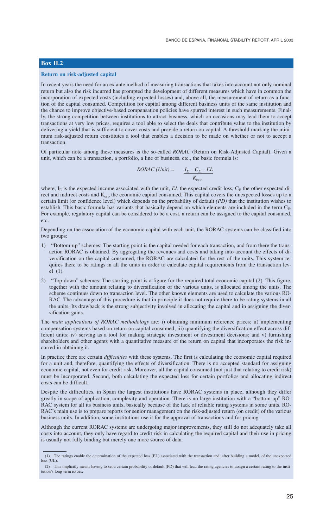#### **Box II.2**

#### **Return on risk-adjusted capital**

In recent years the need for an ex ante method of measuring transactions that takes into account not only nominal return but also the risk incurred has prompted the development of different measures which have in common the incorporation of expected costs (including expected losses) and, above all, the measurement of return as a function of the capital consumed. Competition for capital among different business units of the same institution and the chance to improve objective-based compensation policies have spurred interest in such measurements. Finally, the strong competition between institutions to attract business, which on occasions may lead them to accept transactions at very low prices, requires a tool able to select the deals that contribute value to the institution by delivering a yield that is sufficient to cover costs and provide a return on capital. A threshold marking the minimum risk-adjusted return constitutes a tool that enables a decision to be made on whether or not to accept a transaction.

Of particular note among these measures is the so-called *RORAC* (Return on Risk-Adjusted Capital). Given a unit, which can be a transaction, a portfolio, a line of business, etc., the basic formula is:

$$
RORAC (Unit) = \frac{I_E - C_E - EL}{K_{eco}}
$$

where,  $I<sub>E</sub>$  is the expected income associated with the unit, *EL* the expected credit loss,  $C<sub>E</sub>$  the other expected direct and indirect costs and K<sub>eco</sub> the economic capital consumed. This capital covers the unexpected losses up to a certain limit (or confidence level) which depends on the probability of default *(PD)* that the institution wishes to establish. This basic formula has variants that basically depend on which elements are included in the term  $C_{E}$ . For example, regulatory capital can be considered to be a cost, a return can be assigned to the capital consumed, etc.

Depending on the association of the economic capital with each unit, the RORAC systems can be classified into two groups:

- 1) "Bottom-up" schemes: The starting point is the capital needed for each transaction, and from there the transaction RORAC is obtained. By aggregating the revenues and costs and taking into account the effects of diversification on the capital consumed, the RORAC are calculated for the rest of the units. This system requires there to be ratings in all the units in order to calculate capital requirements from the transaction level (1).
- 2) "Top-down" schemes: The starting point is a figure for the required total economic capital (2). This figure, together with the amount relating to diversification of the various units, is allocated among the units. The scheme continues down to transaction level. The other known elements are used to calculate the various RO-RAC. The advantage of this procedure is that in principle it does not require there to be rating systems in all the units. Its drawback is the strong subjectivity involved in allocating the capital and in assigning the diversification gains.

The *main applications of RORAC methodology* are: i) obtaining minimum reference prices; ii) implementing compensation systems based on return on capital consumed; iii) quantifying the diversification effect across different units; iv) serving as a tool for making strategic investment or divestment decisions; and v) furnishing shareholders and other agents with a quantitative measure of the return on capital that incorporates the risk incurred in obtaining it.

In practice there are certain *difficulties* with these systems. The first is calculating the economic capital required for a unit and, therefore, quantifying the effects of diversification. There is no accepted standard for assigning economic capital, not even for credit risk. Moreover, all the capital consumed (not just that relating to credit risk) must be incorporated. Second, both calculating the expected loss for certain portfolios and allocating indirect costs can be difficult.

Despite the difficulties, in Spain the largest institutions have RORAC systems in place, although they differ greatly in scope of application, complexity and operation. There is no large institution with a "bottom-up" RO-RAC system for all its business units, basically because of the lack of reliable rating systems in some units. RO-RAC's main use is to prepare reports for senior management on the risk-adjusted return (on credit) of the various business units. In addition, some institutions use it for the approval of transactions and for pricing.

Although the current RORAC systems are undergoing major improvements, they still do not adequately take all costs into account, they only have regard to credit risk in calculating the required capital and their use in pricing is usually not fully binding but merely one more source of data.

<sup>(1)</sup> The ratings enable the determination of the expected loss (EL) associated with the transaction and, after building a model, of the unexpected loss (UL).

<sup>(2)</sup> This implicitly means having to set a certain probability of default (PD) that will lead the rating agencies to assign a certain rating to the institution's long-term issues.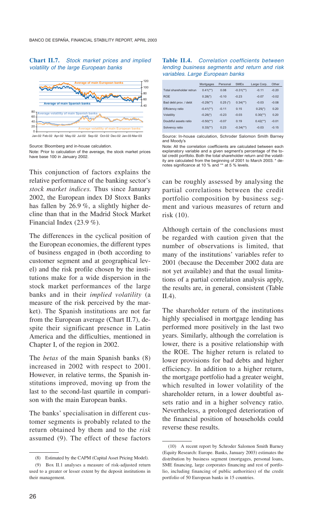#### **Chart II.7.** *Stock market prices and implied volatility of the large European banks*



Source: Bloomberg and in-house calculation.

Note: Prior to calculation of the average, the stock market prices have base 100 in January 2002.

This conjunction of factors explains the relative performance of the banking sector's *stock market indices.* Thus since January 2002, the European index DJ Stoxx Banks has fallen by 26.9 %, a slightly higher decline than that in the Madrid Stock Market Financial Index (23.9 %).

The differences in the cyclical position of the European economies, the different types of business engaged in (both according to customer segment and at geographical level) and the risk profile chosen by the institutions make for a wide dispersion in the stock market performances of the large banks and in their *implied volatility* (a measure of the risk perceived by the market). The Spanish institutions are not far from the European average (Chart II.7), despite their significant presence in Latin America and the difficulties, mentioned in Chapter I, of the region in 2002.

The *betas* of the main Spanish banks (8) increased in 2002 with respect to 2001. However, in relative terms, the Spanish institutions improved, moving up from the last to the second-last quartile in comparison with the main European banks.

The banks' specialisation in different customer segments is probably related to the return obtained by them and to the *risk*  assumed (9). The effect of these factors

| <b>Table II.4.</b> Correlation coefficients between |  |  |  |
|-----------------------------------------------------|--|--|--|
| lending business segments and return and risk       |  |  |  |
| variables. Large European banks                     |  |  |  |

|                          | Mortgages                 | Personal   | <b>SMF<sub>s</sub></b>   | Large Corp.              | Other   |
|--------------------------|---------------------------|------------|--------------------------|--------------------------|---------|
| Total shareholder retrun | $0.41$ <sup>**</sup> )    | 0.08       | $-0.31$ <sup>**</sup> )  | $-0.11$                  | $-0.20$ |
| <b>ROF</b>               | $0.28$ <sup>*</sup> )     | $-0.10$    | $-0.23$                  | $-0.07$                  | $-0.02$ |
| Bad debt prov. / debt    | $-0.29$ <sup>(**)</sup> ) | $0.25$ (*) | $0.34$ <sup>(**)</sup> ) | $-0.03$                  | $-0.08$ |
| <b>Efficiency ratio</b>  | $-0.41$ <sup>(**)</sup> ) | $-0.11$    | 0.15                     | $0.25($ *)               | 0.20    |
| Volatility               | $-0.26(*)$                | $-0.23$    | $-0.03$                  | $0.30$ <sup>(**)</sup> ) | 0.20    |
| Doubtful assets ratio    | $-0.50$ <sup>(**)</sup> ) | $-0.07$    | 0.19                     | $0.42$ <sup>**</sup> )   | $-0.01$ |
| Solvency ratio           | $0.33$ <sup>**</sup> )    | 0.23       | $-0.34$ <sup>**</sup> )  | $-0.03$                  | $-0.15$ |
|                          |                           |            |                          |                          |         |

Source: In-house calculation, Schroder Salomon Smith Barney and Moody's

can be roughly assessed by analysing the partial correlations between the credit portfolio composition by business segment and various measures of return and risk (10).

Although certain of the conclusions must be regarded with caution given that the number of observations is limited, that many of the institutions' variables refer to 2001 (because the December 2002 data are not yet available) and that the usual limitations of a partial correlation analysis apply, the results are, in general, consistent (Table II.4).

The shareholder return of the institutions highly specialised in mortgage lending has performed more positively in the last two years. Similarly, although the correlation is lower, there is a positive relationship with the ROE. The higher return is related to lower provisions for bad debts and higher efficiency. In addition to a higher return, the mortgage portfolio had a greater weight, which resulted in lower volatility of the shareholder return, in a lower doubtful assets ratio and in a higher solvency ratio. Nevertheless, a prolonged deterioration of the financial position of households could reverse these results.

<sup>(8)</sup> Estimated by the CAPM (Capital Asset Pricing Model).

<sup>(9)</sup> Box II.1 analyses a measure of risk-adjusted return used to a greater or lesser extent by the deposit institutions in their management.

Note: All the correlation coefficients are calculated between each explanatory variable and a given segment's percentage of the total credit portfolio. Both the total shareholder return and the volatility are calculated from the beginning of 2001 to March 2003. \* denotes significance at 10 % and \*\* at 5 % levels.

<sup>(10)</sup> A recent report by Schroder Salomon Smith Barney (Equity Research: Europe. Banks, January 2003) estimates the distribution by business segment (mortgages, personal loans, SME financing, large corporates financing and rest of portfolio, including financing of public authorities) of the credit portfolio of 50 European banks in 15 countries.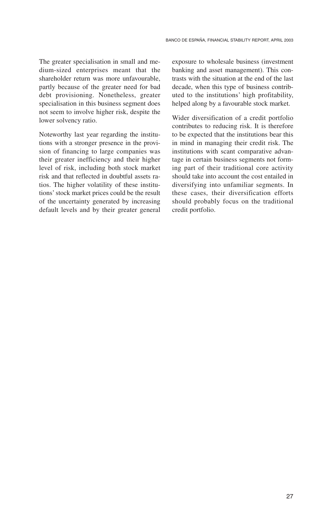The greater specialisation in small and medium-sized enterprises meant that the shareholder return was more unfavourable, partly because of the greater need for bad debt provisioning. Nonetheless, greater specialisation in this business segment does not seem to involve higher risk, despite the lower solvency ratio.

Noteworthy last year regarding the institutions with a stronger presence in the provision of financing to large companies was their greater inefficiency and their higher level of risk, including both stock market risk and that reflected in doubtful assets ratios. The higher volatility of these institutions' stock market prices could be the result of the uncertainty generated by increasing default levels and by their greater general exposure to wholesale business (investment banking and asset management). This contrasts with the situation at the end of the last decade, when this type of business contributed to the institutions' high profitability, helped along by a favourable stock market.

Wider diversification of a credit portfolio contributes to reducing risk. It is therefore to be expected that the institutions bear this in mind in managing their credit risk. The institutions with scant comparative advantage in certain business segments not forming part of their traditional core activity should take into account the cost entailed in diversifying into unfamiliar segments. In these cases, their diversification efforts should probably focus on the traditional credit portfolio.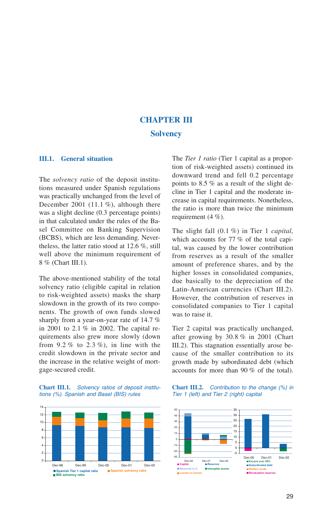### **CHAPTER III Solvency**

#### **III.1. General situation**

The *solvency ratio* of the deposit institutions measured under Spanish regulations was practically unchanged from the level of December 2001 (11.1 %), although there was a slight decline  $(0.3$  percentage points) in that calculated under the rules of the Basel Committee on Banking Supervision (BCBS), which are less demanding. Nevertheless, the latter ratio stood at 12.6 %, still well above the minimum requirement of 8 % (Chart III.1).

The above-mentioned stability of the total solvency ratio (eligible capital in relation to risk-weighted assets) masks the sharp slowdown in the growth of its two components. The growth of own funds slowed sharply from a year-on-year rate of 14.7 % in 2001 to 2.1 % in 2002. The capital requirements also grew more slowly (down from  $9.2\%$  to  $2.3\%$ ), in line with the credit slowdown in the private sector and the increase in the relative weight of mortgage-secured credit.





The *Tier 1 ratio* (Tier 1 capital as a proportion of risk-weighted assets) continued its downward trend and fell 0.2 percentage points to 8.5 % as a result of the slight decline in Tier 1 capital and the moderate increase in capital requirements. Nonetheless, the ratio is more than twice the minimum requirement (4 %).

The slight fall (0.1 %) in Tier 1 *capital,*  which accounts for 77 % of the total capital, was caused by the lower contribution from reserves as a result of the smaller amount of preference shares, and by the higher losses in consolidated companies, due basically to the depreciation of the Latin-American currencies (Chart III.2). However, the contribution of reserves in consolidated companies to Tier 1 capital was to raise it.

Tier 2 capital was practically unchanged, after growing by 30.8 % in 2001 (Chart III.2). This stagnation essentially arose because of the smaller contribution to its growth made by subordinated debt (which accounts for more than 90 % of the total).

**Chart III.2.** *Contribution to the change (%) in Tier 1 (left) and Tier 2 (right) capital*

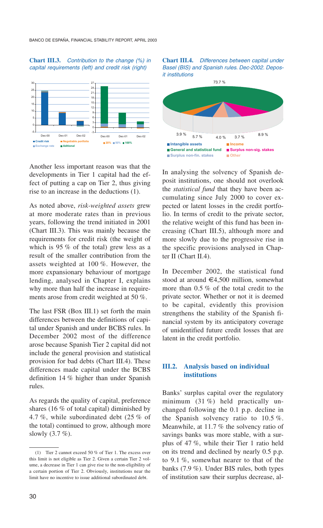#### **Chart III.3.** *Contribution to the change (%) in capital requirements (left) and credit risk (right)*



Another less important reason was that the developments in Tier 1 capital had the effect of putting a cap on Tier 2, thus giving rise to an increase in the deductions (1).

As noted above, *risk-weighted assets* grew at more moderate rates than in previous years, following the trend initiated in 2001 (Chart III.3). This was mainly because the requirements for credit risk (the weight of which is 95 % of the total) grew less as a result of the smaller contribution from the assets weighted at 100 %. However, the more expansionary behaviour of mortgage lending, analysed in Chapter I, explains why more than half the increase in requirements arose from credit weighted at 50 %.

The last FSR (Box III.1) set forth the main differences between the definitions of capital under Spanish and under BCBS rules. In December 2002 most of the difference arose because Spanish Tier 2 capital did not include the general provision and statistical provision for bad debts (Chart III.4). These differences made capital under the BCBS definition 14 % higher than under Spanish rules.

As regards the quality of capital, preference shares (16 % of total capital) diminished by 4.7 %, while subordinated debt (25 % of the total) continued to grow, although more slowly (3.7 %).





In analysing the solvency of Spanish deposit institutions, one should not overlook the *statistical fund* that they have been accumulating since July 2000 to cover expected or latent losses in the credit portfolio. In terms of credit to the private sector, the relative weight of this fund has been increasing (Chart III.5), although more and more slowly due to the progressive rise in the specific provisions analysed in Chapter II (Chart II.4).

In December 2002, the statistical fund stood at around €4,500 million, somewhat more than 0.5 % of the total credit to the private sector. Whether or not it is deemed to be capital, evidently this provision strengthens the stability of the Spanish financial system by its anticipatory coverage of unidentified future credit losses that are latent in the credit portfolio.

#### **III.2. Analysis based on individual institutions**

Banks' surplus capital over the regulatory minimum (31 %) held practically unchanged following the 0.1 p.p. decline in the Spanish solvency ratio to 10.5 %. Meanwhile, at 11.7 % the solvency ratio of savings banks was more stable, with a surplus of 47 %, while their Tier 1 ratio held on its trend and declined by nearly 0.5 p.p. to 9.1 %, somewhat nearer to that of the banks (7.9 %). Under BIS rules, both types of institution saw their surplus decrease, al-

<sup>(1)</sup> Tier 2 cannot exceed 50 % of Tier 1. The excess over this limit is not eligible as Tier 2. Given a certain Tier 2 volume, a decrease in Tier 1 can give rise to the non-eligibility of a certain portion of Tier 2. Obviously, institutions near the limit have no incentive to issue additional subordinated debt.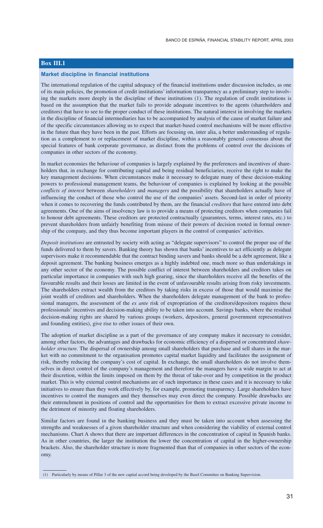#### **Box III.1**

#### **Market discipline in financial institutions**

The international regulation of the capital adequacy of the financial institutions under discussion includes, as one of its main policies, the promotion of credit institutions' information transparency as a preliminary step to involving the markets more deeply in the discipline of these institutions (1). The regulation of credit institutions is based on the assumption that the market fails to provide adequate incentives to the agents (shareholders and creditors) that have to see to the proper conduct of these institutions. The natural interest in involving the markets in the discipline of financial intermediaries has to be accompanied by analysis of the cause of market failure and of the specific circumstances allowing us to expect that market-based control mechanisms will be more effective in the future than they have been in the past. Efforts are focusing on, inter alia, a better understanding of regulation as a complement to or replacement of market discipline, within a reasonably general consensus about the special features of bank corporate governance, as distinct from the problems of control over the decisions of companies in other sectors of the economy.

In market economies the behaviour of companies is largely explained by the preferences and incentives of shareholders that, in exchange for contributing capital and being residual beneficiaries, receive the right to make the key management decisions. When circumstances make it necessary to delegate many of these decision-making powers to professional management teams, the behaviour of companies is explained by looking at the possible *conflicts of interest* between *shareholders* and *managers* and the possibility that shareholders actually have of influencing the conduct of those who control the use of the companies' assets. Second-last in order of priority when it comes to recovering the funds contributed by them, are the financial *creditors* that have entered into debt agreements. One of the aims of insolvency law is to provide a means of protecting creditors when companies fail to honour debt agreements. These creditors are protected contractually (guarantees, terms, interest rates, etc.) to prevent shareholders from unfairly benefiting from misuse of their powers of decision rooted in formal ownership of the company, and they thus become important players in the control of companies' activities.

*Deposit institutions* are entrusted by society with acting as "delegate supervisors" to control the proper use of the funds delivered to them by savers. Banking theory has shown that banks' incentives to act efficiently as delegate supervisors make it recommendable that the contract binding savers and banks should be a debt agreement, like a deposit agreement. The banking business emerges as a highly indebted one, much more so than undertakings in any other sector of the economy. The possible conflict of interest between shareholders and creditors takes on particular importance in companies with such high gearing, since the shareholders receive all the benefits of the favourable results and their losses are limited in the event of unfavourable results arising from risky investments. The shareholders extract wealth from the creditors by taking risks in excess of those that would maximise the joint wealth of creditors and shareholders. When the shareholders delegate management of the bank to professional managers, the assessment of the *ex ante* risk of expropriation of the creditors/depositors requires these professionals' incentives and decision-making ability to be taken into account. Savings banks, where the residual decision-making rights are shared by various groups (workers, depositors, general government representatives and founding entities), give rise to other issues of their own.

The adoption of market discipline as a part of the governance of any company makes it necessary to consider, among other factors, the advantages and drawbacks for economic efficiency of a dispersed or concentrated *shareholder structure.* The dispersal of ownership among small shareholders that purchase and sell shares in the market with no commitment to the organisation promotes capital market liquidity and facilitates the assignment of risk, thereby reducing the company's cost of capital. In exchange, the small shareholders do not involve themselves in direct control of the company's management and therefore the managers have a wide margin to act at their discretion, within the limits imposed on them by the threat of take-over and by competition in the product market. This is why external control mechanisms are of such importance in these cases and it is necessary to take initiatives to ensure than they work effectively by, for example, promoting transparency. Large shareholders have incentives to control the managers and they themselves may even direct the company. Possible drawbacks are their entrenchment in positions of control and the opportunities for them to extract excessive private income to the detriment of minority and floating shareholders.

Similar factors are found in the banking business and they must be taken into account when assessing the strengths and weaknesses of a given shareholder structure and when considering the viability of external control mechanisms. Chart A shows that there are important differences in the concentration of capital in Spanish banks. As in other countries, the larger the institution the lower the concentration of capital in the higher-ownership brackets. Also, the shareholder structure is more fragmented than that of companies in other sectors of the economy.

<sup>(1)</sup> Particularly by means of Pillar 3 of the new capital accord being developed by the Basel Committee on Banking Supervision.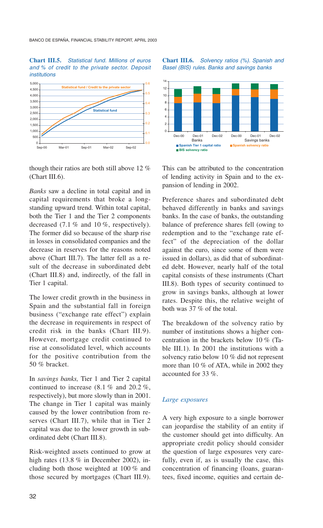#### **Chart III.5.** *Statistical fund. Millions of euros and % of credit to the private sector. Deposit institutions*



though their ratios are both still above 12 % (Chart III.6).

*Banks* saw a decline in total capital and in capital requirements that broke a longstanding upward trend. Within total capital, both the Tier 1 and the Tier 2 components decreased (7.1 % and 10 %, respectively). The former did so because of the sharp rise in losses in consolidated companies and the decrease in reserves for the reasons noted above (Chart III.7). The latter fell as a result of the decrease in subordinated debt (Chart III.8) and, indirectly, of the fall in Tier 1 capital.

The lower credit growth in the business in Spain and the substantial fall in foreign business ("exchange rate effect") explain the decrease in requirements in respect of credit risk in the banks (Chart III.9). However, mortgage credit continued to rise at consolidated level, which accounts for the positive contribution from the 50 % bracket.

In *savings banks,* Tier 1 and Tier 2 capital continued to increase (8.1 % and 20.2 %, respectively), but more slowly than in 2001. The change in Tier 1 capital was mainly caused by the lower contribution from reserves (Chart III.7), while that in Tier 2 capital was due to the lower growth in subordinated debt (Chart III.8).

Risk-weighted assets continued to grow at high rates (13.8 % in December 2002), including both those weighted at 100 % and those secured by mortgages (Chart III.9). **Chart III.6.** *Solvency ratios (%). Spanish and Basel (BIS) rules. Banks and savings banks*



This can be attributed to the concentration of lending activity in Spain and to the expansion of lending in 2002.

Preference shares and subordinated debt behaved differently in banks and savings banks. In the case of banks, the outstanding balance of preference shares fell (owing to redemption and to the "exchange rate effect" of the depreciation of the dollar against the euro, since some of them were issued in dollars), as did that of subordinated debt. However, nearly half of the total capital consists of these instruments (Chart III.8). Both types of security continued to grow in savings banks, although at lower rates. Despite this, the relative weight of both was 37 % of the total.

The breakdown of the solvency ratio by number of institutions shows a higher concentration in the brackets below 10 % (Table III.1). In 2001 the institutions with a solvency ratio below 10 % did not represent more than 10 % of ATA, while in 2002 they accounted for 33 %.

#### *Large exposures*

A very high exposure to a single borrower can jeopardise the stability of an entity if the customer should get into difficulty. An appropriate credit policy should consider the question of large exposures very carefully, even if, as is usually the case, this concentration of financing (loans, guarantees, fixed income, equities and certain de-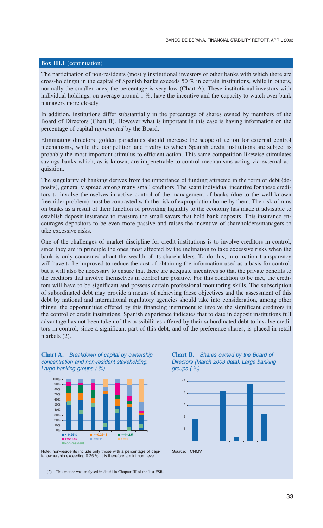#### **Box III.1** (continuation)

The participation of non-residents (mostly institutional investors or other banks with which there are cross-holdings) in the capital of Spanish banks exceeds 50  $\%$  in certain institutions, while in others, normally the smaller ones, the percentage is very low (Chart A). These institutional investors with individual holdings, on average around 1 %, have the incentive and the capacity to watch over bank managers more closely.

In addition, institutions differ substantially in the percentage of shares owned by members of the Board of Directors (Chart B). However what is important in this case is having information on the percentage of capital r*epresented* by the Board.

Eliminating directors' golden parachutes should increase the scope of action for external control mechanisms, while the competition and rivalry to which Spanish credit institutions are subject is probably the most important stimulus to efficient action. This same competition likewise stimulates savings banks which, as is known, are impenetrable to control mechanisms acting via external acquisition.

The singularity of banking derives from the importance of funding attracted in the form of debt (deposits), generally spread among many small creditors. The scant individual incentive for these creditors to involve themselves in active control of the management of banks (due to the well known free-rider problem) must be contrasted with the risk of expropriation borne by them. The risk of runs on banks as a result of their function of providing liquidity to the economy has made it advisable to establish deposit insurance to reassure the small savers that hold bank deposits. This insurance encourages depositors to be even more passive and raises the incentive of shareholders/managers to take excessive risks.

One of the challenges of market discipline for credit institutions is to involve creditors in control, since they are in principle the ones most affected by the inclination to take excessive risks when the bank is only concerned about the wealth of its shareholders. To do this, information transparency will have to be improved to reduce the cost of obtaining the information used as a basis for control, but it will also be necessary to ensure that there are adequate incentives so that the private benefits to the creditors that involve themselves in control are positive. For this condition to be met, the creditors will have to be significant and possess certain professional monitoring skills. The subscription of subordinated debt may provide a means of achieving these objectives and the assessment of this debt by national and international regulatory agencies should take into consideration, among other things, the opportunities offered by this financing instrument to involve the significant creditors in the control of credit institutions. Spanish experience indicates that to date in deposit institutions full advantage has not been taken of the possibilities offered by their subordinated debt to involve creditors in control, since a significant part of this debt, and of the preference shares, is placed in retail markets (2).







Note: non-residents include only those with a percentage of capi-tal ownership exceeding 0.25 %. It is therefore a minimum level.

(2) This matter was analysed in detail in Chapter III of the last FSR.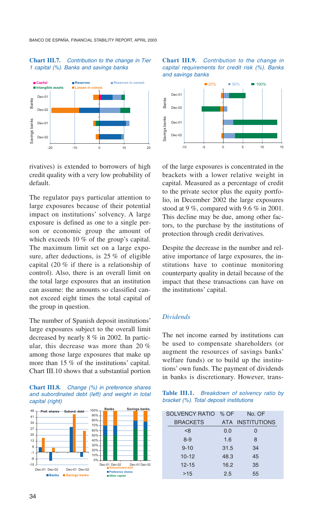#### **Chart III.7.** *Contribution to the change in Tier 1 capital (%). Banks and savings banks*



rivatives) is extended to borrowers of high credit quality with a very low probability of default.

The regulator pays particular attention to large exposures because of their potential impact on institutions' solvency. A large exposure is defined as one to a single person or economic group the amount of which exceeds 10 % of the group's capital. The maximum limit set on a large exposure, after deductions, is 25 % of eligible capital (20 % if there is a relationship of control). Also, there is an overall limit on the total large exposures that an institution can assume: the amounts so classified cannot exceed eight times the total capital of the group in question.

The number of Spanish deposit institutions' large exposures subject to the overall limit decreased by nearly 8 % in 2002. In particular, this decrease was more than 20 % among those large exposures that make up more than 15 % of the institutions' capital. Chart III.10 shows that a substantial portion









of the large exposures is concentrated in the brackets with a lower relative weight in capital. Measured as a percentage of credit to the private sector plus the equity portfolio, in December 2002 the large exposures stood at 9 %, compared with 9.6 % in 2001. This decline may be due, among other factors, to the purchase by the institutions of protection through credit derivatives.

Despite the decrease in the number and relative importance of large exposures, the institutions have to continue monitoring counterparty quality in detail because of the impact that these transactions can have on the institutions' capital.

#### *Dividends*

The net income earned by institutions can be used to compensate shareholders (or augment the resources of savings banks' welfare funds) or to build up the institutions' own funds. The payment of dividends in banks is discretionary. However, trans-

#### **Table III.1.** *Breakdown of solvency ratio by bracket (%). Total deposit institutions*

| SOLVENCY RATIO % OF |      | No. OF           |
|---------------------|------|------------------|
| <b>BRACKETS</b>     |      | ATA INSTITUTIONS |
| < 8                 | 0.0  | O                |
| $8 - 9$             | 1.6  | 8                |
| $9 - 10$            | 31.5 | 34               |
| $10 - 12$           | 48.3 | 45               |
| $12 - 15$           | 16.2 | 35               |
| >15                 | 2.5  | 55               |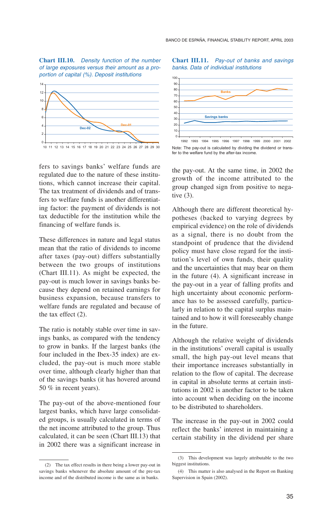**Chart III.10.** *Density function of the number of large exposures versus their amount as a proportion of capital (%). Deposit institutions*



fers to savings banks' welfare funds are regulated due to the nature of these institutions, which cannot increase their capital. The tax treatment of dividends and of transfers to welfare funds is another differentiating factor: the payment of dividends is not tax deductible for the institution while the financing of welfare funds is.

These differences in nature and legal status mean that the ratio of dividends to income after taxes (pay-out) differs substantially between the two groups of institutions (Chart III.11). As might be expected, the pay-out is much lower in savings banks because they depend on retained earnings for business expansion, because transfers to welfare funds are regulated and because of the tax effect (2).

The ratio is notably stable over time in savings banks, as compared with the tendency to grow in banks. If the largest banks (the four included in the Ibex-35 index) are excluded, the pay-out is much more stable over time, although clearly higher than that of the savings banks (it has hovered around 50 % in recent years).

The pay-out of the above-mentioned four largest banks, which have large consolidated groups, is usually calculated in terms of the net income attributed to the group. Thus calculated, it can be seen (Chart III.13) that in 2002 there was a significant increase in

**Chart III.11.** *Pay-out of banks and savings banks. Data of individual institutions*



Note: The pay-out is calculated by dividing the dividend or transfer to the welfare fund by the after-tax income.

the pay-out. At the same time, in 2002 the growth of the income attributed to the group changed sign from positive to negative (3).

Although there are different theoretical hypotheses (backed to varying degrees by empirical evidence) on the role of dividends as a signal, there is no doubt from the standpoint of prudence that the dividend policy must have close regard for the institution's level of own funds, their quality and the uncertainties that may bear on them in the future (4). A significant increase in the pay-out in a year of falling profits and high uncertainty about economic performance has to be assessed carefully, particularly in relation to the capital surplus maintained and to how it will foreseeably change in the future.

Although the relative weight of dividends in the institutions' overall capital is usually small, the high pay-out level means that their importance increases substantially in relation to the flow of capital. The decrease in capital in absolute terms at certain institutions in 2002 is another factor to be taken into account when deciding on the income to be distributed to shareholders.

The increase in the pay-out in 2002 could reflect the banks' interest in maintaining a certain stability in the dividend per share

<sup>(2)</sup> The tax effect results in there being a lower pay-out in savings banks whenever the absolute amount of the pre-tax income and of the distributed income is the same as in banks.

<sup>(3)</sup> This development was largely attributable to the two biggest institutions.

<sup>(4)</sup> This matter is also analysed in the Report on Banking Supervision in Spain (2002).